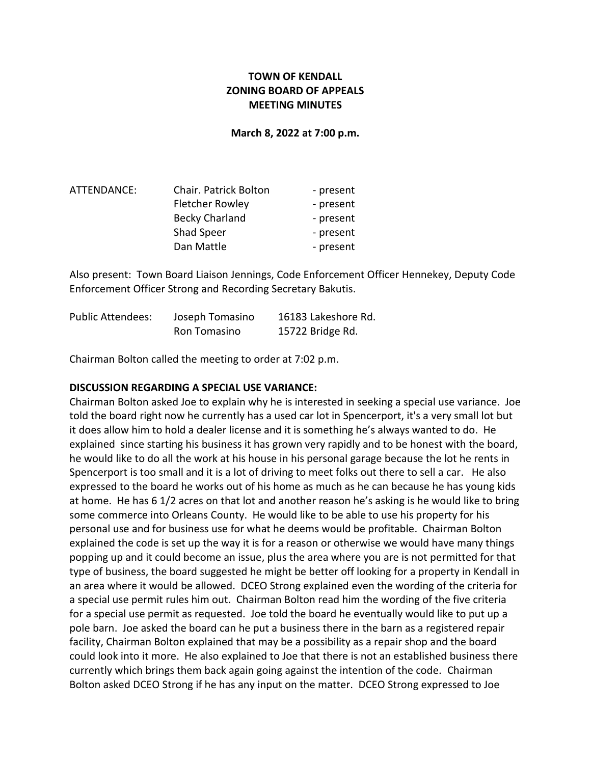# **TOWN OF KENDALL ZONING BOARD OF APPEALS MEETING MINUTES**

**March 8, 2022 at 7:00 p.m.**

| ATTENDANCE: | Chair. Patrick Bolton  | - present |
|-------------|------------------------|-----------|
|             | <b>Fletcher Rowley</b> | - present |
|             | <b>Becky Charland</b>  | - present |
|             | Shad Speer             | - present |
|             | Dan Mattle             | - present |

Also present: Town Board Liaison Jennings, Code Enforcement Officer Hennekey, Deputy Code Enforcement Officer Strong and Recording Secretary Bakutis.

| <b>Public Attendees:</b> | Joseph Tomasino | 16183 Lakeshore Rd. |
|--------------------------|-----------------|---------------------|
|                          | Ron Tomasino    | 15722 Bridge Rd.    |

Chairman Bolton called the meeting to order at 7:02 p.m.

#### **DISCUSSION REGARDING A SPECIAL USE VARIANCE:**

Chairman Bolton asked Joe to explain why he is interested in seeking a special use variance. Joe told the board right now he currently has a used car lot in Spencerport, it's a very small lot but it does allow him to hold a dealer license and it is something he's always wanted to do. He explained since starting his business it has grown very rapidly and to be honest with the board, he would like to do all the work at his house in his personal garage because the lot he rents in Spencerport is too small and it is a lot of driving to meet folks out there to sell a car. He also expressed to the board he works out of his home as much as he can because he has young kids at home. He has 6 1/2 acres on that lot and another reason he's asking is he would like to bring some commerce into Orleans County. He would like to be able to use his property for his personal use and for business use for what he deems would be profitable. Chairman Bolton explained the code is set up the way it is for a reason or otherwise we would have many things popping up and it could become an issue, plus the area where you are is not permitted for that type of business, the board suggested he might be better off looking for a property in Kendall in an area where it would be allowed. DCEO Strong explained even the wording of the criteria for a special use permit rules him out. Chairman Bolton read him the wording of the five criteria for a special use permit as requested. Joe told the board he eventually would like to put up a pole barn. Joe asked the board can he put a business there in the barn as a registered repair facility, Chairman Bolton explained that may be a possibility as a repair shop and the board could look into it more. He also explained to Joe that there is not an established business there currently which brings them back again going against the intention of the code. Chairman Bolton asked DCEO Strong if he has any input on the matter. DCEO Strong expressed to Joe